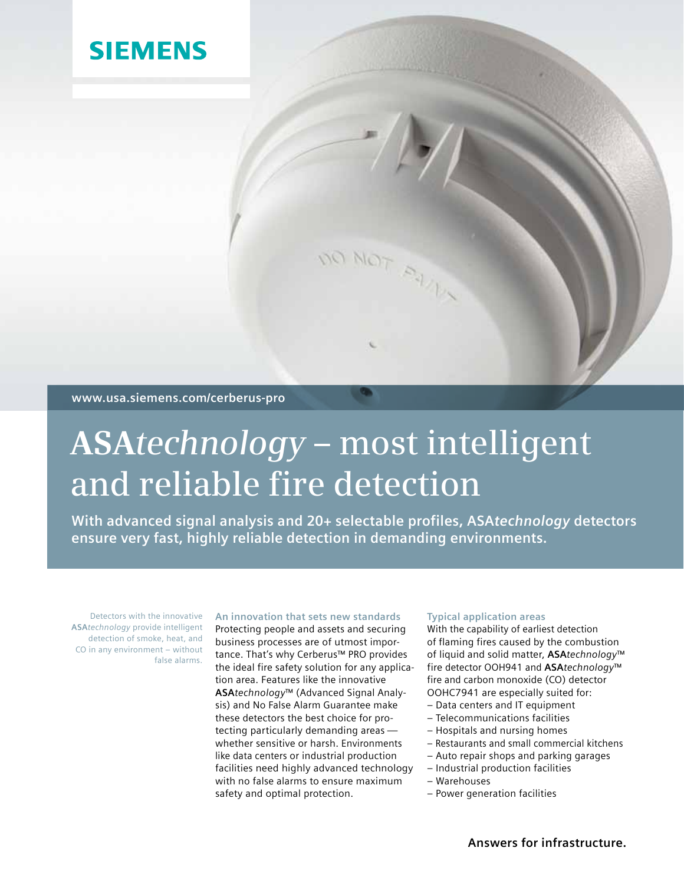# **SIEMENS**

**www.usa.siemens.com/cerberus-pro**

# **ASA***technology* **– most intelligent and reliable fire detection**

**With advanced signal analysis and 20+ selectable profiles, ASA***technology* **detectors ensure very fast, highly reliable detection in demanding environments.**

DO NOT PAUL

Detectors with the innovative **ASA***technology* provide intelligent detection of smoke, heat, and CO in any environment – without false alarms.

## **An innovation that sets new standards**

Protecting people and assets and securing business processes are of utmost importance. That's why Cerberus™ PRO provides the ideal fire safety solution for any application area. Features like the innovative **ASA***technology*™ (Advanced Signal Analysis) and No False Alarm Guarantee make these detectors the best choice for protecting particularly demanding areas whether sensitive or harsh. Environments like data centers or industrial production facilities need highly advanced technology with no false alarms to ensure maximum safety and optimal protection.

# **Typical application areas**

With the capability of earliest detection of flaming fires caused by the combustion of liquid and solid matter, **ASA***technology*™ fire detector OOH941 and **ASA***technology*™ fire and carbon monoxide (CO) detector OOHC7941 are especially suited for:

- Data centers and IT equipment
- Telecommunications facilities
- Hospitals and nursing homes
- Restaurants and small commercial kitchens
- Auto repair shops and parking garages
- Industrial production facilities
- Warehouses
- Power generation facilities